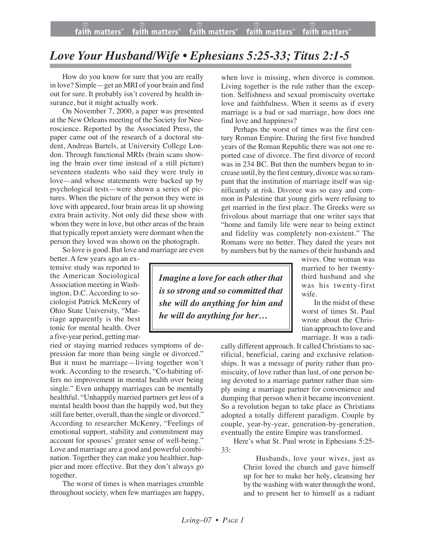## *Love Your Husband/Wife • Ephesians 5:25-33; Titus 2:1-5*

How do you know for sure that you are really in love? Simple—get an MRI of your brain and find out for sure. It probably isn't covered by health insurance, but it might actually work.

On November 7, 2000, a paper was presented at the New Orleans meeting of the Society for Neuroscience. Reported by the Associated Press, the paper came out of the research of a doctoral student, Andreas Bartels, at University College London. Through functional MRIs (brain scans showing the brain over time instead of a still picture) seventeen students who said they were truly in love—and whose statements were backed up by psychological tests—were shown a series of pictures. When the picture of the person they were in love with appeared, four brain areas lit up showing extra brain activity. Not only did these show with whom they were in love, but other areas of the brain that typically report anxiety were dormant when the person they loved was shown on the photograph.

So love is good. But love and marriage are even

better. A few years ago an extensive study was reported to the American Sociological Association meeting in Washington, D.C. According to sociologist Patrick McKenry of Ohio State University, "Marriage apparently is the best tonic for mental health. Over a five-year period, getting mar-

ried or staying married reduces symptoms of depression far more than being single or divorced." But it must be marriage—living together won't work. According to the research, "Co-habiting offers no improvement in mental health over being single." Even unhappy marriages can be mentally healthful. "Unhappily married partners get less of a mental health boost than the happily wed, but they still fare better, overall, than the single or divorced." According to researcher McKenry, "Feelings of emotional support, stability and commitment may account for spouses' greater sense of well-being." Love and marriage are a good and powerful combination. Together they can make you healthier, happier and more effective. But they don't always go together.

The worst of times is when marriages crumble throughout society, when few marriages are happy, when love is missing, when divorce is common. Living together is the rule rather than the exception. Selfishness and sexual promiscuity overtake love and faithfulness. When it seems as if every marriage is a bad or sad marriage, how does one find love and happiness?

Perhaps the worst of times was the first century Roman Empire. During the first five hundred years of the Roman Republic there was not one reported case of divorce. The first divorce of record was in 234 BC. But then the numbers began to increase until, by the first century, divorce was so rampant that the institution of marriage itself was significantly at risk. Divorce was so easy and common in Palestine that young girls were refusing to get married in the first place. The Greeks were so frivolous about marriage that one writer says that "home and family life were near to being extinct and fidelity was completely non-existent." The Romans were no better. They dated the years not by numbers but by the names of their husbands and

*Imagine a love for each otherthat is so strong and so committed that she will do anything for him and he will do anything for her…*

wives. One woman was married to her twentythird husband and she was his twenty-first wife.

In the midst of these worst of times St. Paul wrote about the Christian approach to love and marriage. It was a radi-

cally different approach. It called Christians to sacrificial, beneficial, caring and exclusive relationships. It was a message of purity rather than promiscuity, of love rather than lust, of one person being devoted to a marriage partner rather than simply using a marriage partner for convenience and dumping that person when it became inconvenient. So a revolution began to take place as Christians adopted a totally different paradigm. Couple by couple, year-by-year, generation-by-generation, eventually the entire Empire was transformed.

Here's what St. Paul wrote in Ephesians 5:25- 33:

> Husbands, love your wives, just as Christ loved the church and gave himself up for her to make her holy, cleansing her by the washing with water through the word, and to present her to himself as a radiant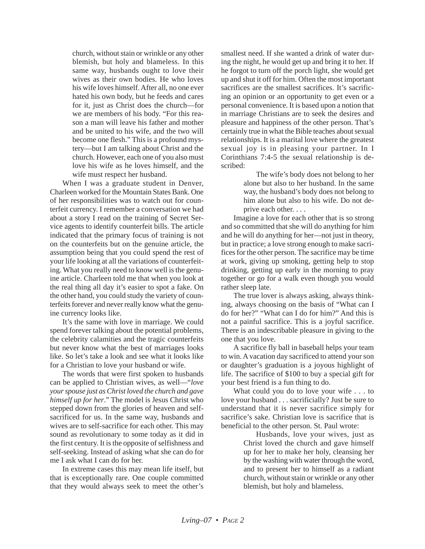church, without stain or wrinkle or any other blemish, but holy and blameless. In this same way, husbands ought to love their wives as their own bodies. He who loves his wife loves himself. After all, no one ever hated his own body, but he feeds and cares for it, just as Christ does the church—for we are members of his body. "For this reason a man will leave his father and mother and be united to his wife, and the two will become one flesh." This is a profound mystery—but I am talking about Christ and the church. However, each one of you also must love his wife as he loves himself, and the wife must respect her husband.

When I was a graduate student in Denver, Charleen worked for the Mountain States Bank. One of her responsibilities was to watch out for counterfeit currency. I remember a conversation we had about a story I read on the training of Secret Service agents to identify counterfeit bills. The article indicated that the primary focus of training is not on the counterfeits but on the genuine article, the assumption being that you could spend the rest of your life looking at all the variations of counterfeiting. What you really need to know well is the genuine article. Charleen told me that when you look at the real thing all day it's easier to spot a fake. On the other hand, you could study the variety of counterfeits forever and never really know what the genuine currency looks like.

It's the same with love in marriage. We could spend forever talking about the potential problems, the celebrity calamities and the tragic counterfeits but never know what the best of marriages looks like. So let's take a look and see what it looks like for a Christian to love your husband or wife.

The words that were first spoken to husbands can be applied to Christian wives, as well—"*love your spouse just as Christ loved the church and gave himself up for her*." The model is Jesus Christ who stepped down from the glories of heaven and selfsacrificed for us. In the same way, husbands and wives are to self-sacrifice for each other. This may sound as revolutionary to some today as it did in the first century. It is the opposite of selfishness and self-seeking. Instead of asking what she can do for me I ask what I can do for her.

In extreme cases this may mean life itself, but that is exceptionally rare. One couple committed that they would always seek to meet the other's smallest need. If she wanted a drink of water during the night, he would get up and bring it to her. If he forgot to turn off the porch light, she would get up and shut it off for him. Often the most important sacrifices are the smallest sacrifices. It's sacrificing an opinion or an opportunity to get even or a personal convenience. It is based upon a notion that in marriage Christians are to seek the desires and pleasure and happiness of the other person. That's certainly true in what the Bible teaches about sexual relationships. It is a marital love where the greatest sexual joy is in pleasing your partner. In I Corinthians 7:4-5 the sexual relationship is described:

> The wife's body does not belong to her alone but also to her husband. In the same way, the husband's body does not belong to him alone but also to his wife. Do not deprive each other. . . .

Imagine a love for each other that is so strong and so committed that she will do anything for him and he will do anything for her—not just in theory, but in practice; a love strong enough to make sacrifices for the other person. The sacrifice may be time at work, giving up smoking, getting help to stop drinking, getting up early in the morning to pray together or go for a walk even though you would rather sleep late.

The true lover is always asking, always thinking, always choosing on the basis of "What can I do for her?" "What can I do for him?" And this is not a painful sacrifice. This is a joyful sacrifice. There is an indescribable pleasure in giving to the one that you love.

A sacrifice fly ball in baseball helps your team to win. A vacation day sacrificed to attend your son or daughter's graduation is a joyous highlight of life. The sacrifice of \$100 to buy a special gift for your best friend is a fun thing to do.

What could you do to love your wife . . . to love your husband . . . sacrificially? Just be sure to understand that it is never sacrifice simply for sacrifice's sake. Christian love is sacrifice that is beneficial to the other person. St. Paul wrote:

> Husbands, love your wives, just as Christ loved the church and gave himself up for her to make her holy, cleansing her by the washing with water through the word, and to present her to himself as a radiant church, without stain or wrinkle or any other blemish, but holy and blameless.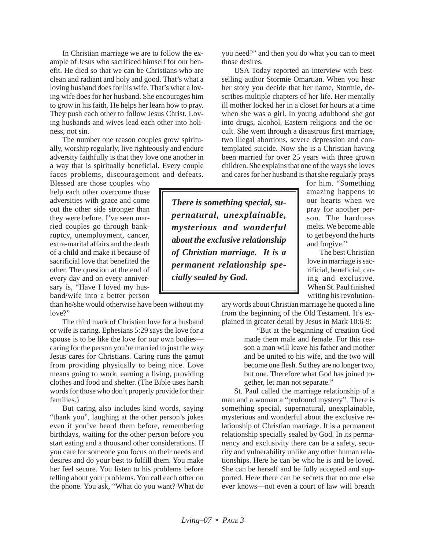In Christian marriage we are to follow the example of Jesus who sacrificed himself for our benefit. He died so that we can be Christians who are clean and radiant and holy and good. That's what a loving husband does for his wife. That's what a loving wife does for her husband. She encourages him to grow in his faith. He helps her learn how to pray. They push each other to follow Jesus Christ. Loving husbands and wives lead each other into holiness, not sin.

The number one reason couples grow spiritually, worship regularly, live righteously and endure adversity faithfully is that they love one another in a way that is spiritually beneficial. Every couple faces problems, discouragement and defeats.

Blessed are those couples who help each other overcome those adversities with grace and come out the other side stronger than they were before. I've seen married couples go through bankruptcy, unemployment, cancer, extra-marital affairs and the death of a child and make it because of sacrificial love that benefited the other. The question at the end of every day and on every anniversary is, "Have I loved my husband/wife into a better person

than he/she would otherwise have been without my love?"

The third mark of Christian love for a husband or wife is caring. Ephesians 5:29 says the love for a spouse is to be like the love for our own bodies caring for the person you're married to just the way Jesus cares for Christians. Caring runs the gamut from providing physically to being nice. Love means going to work, earning a living, providing clothes and food and shelter. (The Bible uses harsh words for those who don't properly provide for their families.)

But caring also includes kind words, saying "thank you", laughing at the other person's jokes even if you've heard them before, remembering birthdays, waiting for the other person before you start eating and a thousand other considerations. If you care for someone you focus on their needs and desires and do your best to fulfill them. You make her feel secure. You listen to his problems before telling about your problems. You call each other on the phone. You ask, "What do you want? What do you need?" and then you do what you can to meet those desires.

USA Today reported an interview with bestselling author Stormie Omartian. When you hear her story you decide that her name, Stormie, describes multiple chapters of her life. Her mentally ill mother locked her in a closet for hours at a time when she was a girl. In young adulthood she got into drugs, alcohol, Eastern religions and the occult. She went through a disastrous first marriage, two illegal abortions, severe depression and contemplated suicide. Now she is a Christian having been married for over 25 years with three grown children. She explains that one of the ways she loves and cares for her husband is that she regularly prays

for him. "Something amazing happens to our hearts when we pray for another person. The hardness melts. We become able to get beyond the hurts and forgive."

The best Christian love in marriage is sacrificial, beneficial, caring and exclusive. When St. Paul finished writing his revolution-

ary words about Christian marriage he quoted a line from the beginning of the Old Testament. It's explained in greater detail by Jesus in Mark 10:6-9:

> "But at the beginning of creation God made them male and female. For this reason a man will leave his father and mother and be united to his wife, and the two will become one flesh. So they are no longer two, but one. Therefore what God has joined together, let man not separate."

St. Paul called the marriage relationship of a man and a woman a "profound mystery". There is something special, supernatural, unexplainable, mysterious and wonderful about the exclusive relationship of Christian marriage. It is a permanent relationship specially sealed by God. In its permanency and exclusivity there can be a safety, security and vulnerability unlike any other human relationships. Here he can be who he is and be loved. She can be herself and be fully accepted and supported. Here there can be secrets that no one else ever knows—not even a court of law will breach

*There is something special, supernatural, unexplainable, mysterious and wonderful about the exclusive relationship of Christian marriage. It is a permanent relationship specially sealed by God.*